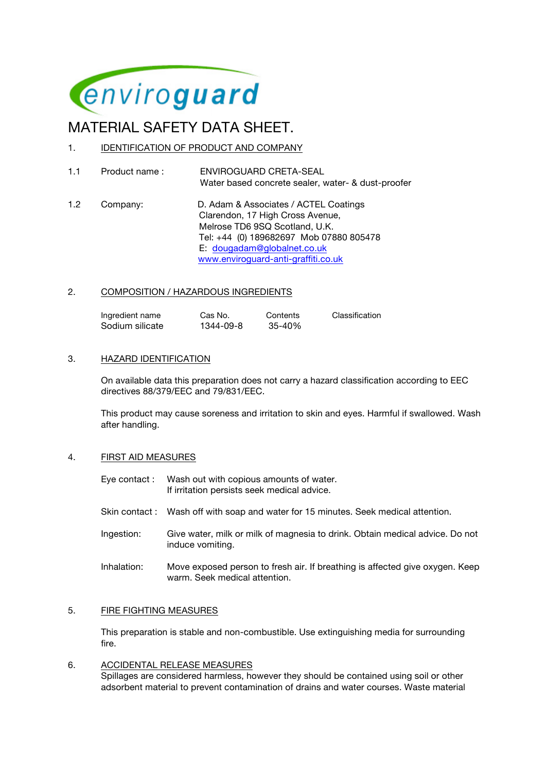

# MATERIAL SAFETY DATA SHEET.

- 1. IDENTIFICATION OF PRODUCT AND COMPANY
- 1.1 Product name : ENVIROGUARD CRETA-SEAL Water based concrete sealer, water- & dust-proofer
- 1.2 Company: D. Adam & Associates / ACTEL Coatings Clarendon, 17 High Cross Avenue, Melrose TD6 9SQ Scotland, U.K. Tel: +44 (0) 189682697 Mob 07880 805478 E: dougadam@globalnet.co.uk www.enviroguard-anti-graffiti.co.uk

# 2. COMPOSITION / HAZARDOUS INGREDIENTS

| Ingredient name | Cas No.   | Contents   | Classification |
|-----------------|-----------|------------|----------------|
| Sodium silicate | 1344-09-8 | $35 - 40%$ |                |

# 3. HAZARD IDENTIFICATION

On available data this preparation does not carry a hazard classification according to EEC directives 88/379/EEC and 79/831/EEC.

This product may cause soreness and irritation to skin and eyes. Harmful if swallowed. Wash after handling.

#### 4. FIRST AID MEASURES

Eye contact : Wash out with copious amounts of water. If irritation persists seek medical advice.

- Skin contact : Wash off with soap and water for 15 minutes. Seek medical attention.
- Ingestion: Give water, milk or milk of magnesia to drink. Obtain medical advice. Do not induce vomiting.
- Inhalation: Move exposed person to fresh air. If breathing is affected give oxygen. Keep warm. Seek medical attention.

#### 5. FIRE FIGHTING MEASURES

This preparation is stable and non-combustible. Use extinguishing media for surrounding fire.

6. ACCIDENTAL RELEASE MEASURES Spillages are considered harmless, however they should be contained using soil or other adsorbent material to prevent contamination of drains and water courses. Waste material